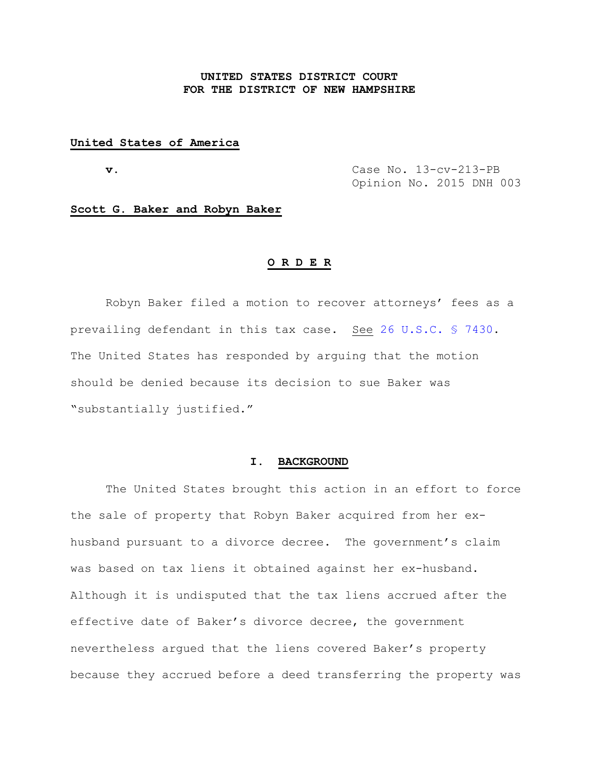# **UNITED STATES DISTRICT COURT FOR THE DISTRICT OF NEW HAMPSHIRE**

## **United States of America**

 **v.** Case No. 13-cv-213-PB Opinion No. 2015 DNH 003

## **Scott G. Baker and Robyn Baker**

#### **O R D E R**

Robyn Baker filed a motion to recover attorneys' fees as a prevailing defendant in this tax case. See [26 U.S.C. § 7430.](http://web2.westlaw.com/find/default.wl?cite=26+usc+7430&rs=WLW14.10&vr=2.0&rp=%2ffind%2fdefault.wl&sv=Split&fn=_top&mt=Westlaw) The United States has responded by arguing that the motion should be denied because its decision to sue Baker was "substantially justified."

## **I. BACKGROUND**

The United States brought this action in an effort to force the sale of property that Robyn Baker acquired from her exhusband pursuant to a divorce decree. The government's claim was based on tax liens it obtained against her ex-husband. Although it is undisputed that the tax liens accrued after the effective date of Baker's divorce decree, the government nevertheless argued that the liens covered Baker's property because they accrued before a deed transferring the property was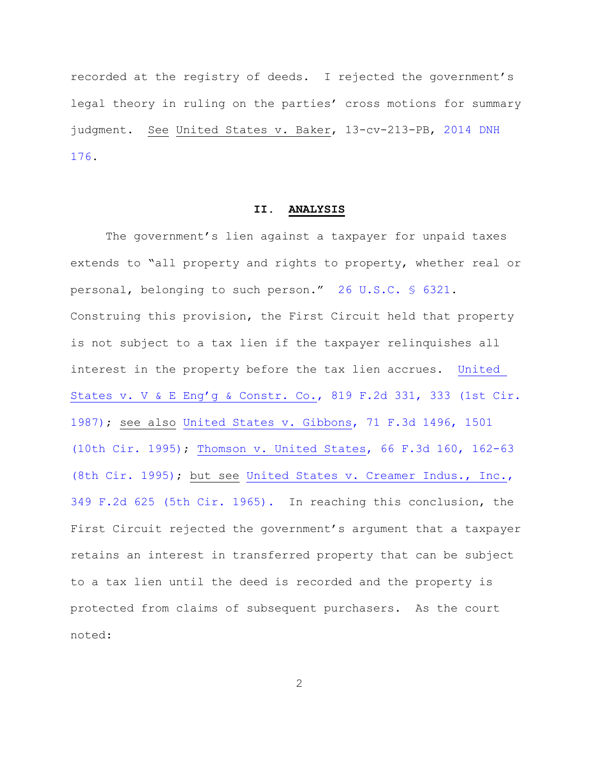recorded at the registry of deeds. I rejected the government's legal theory in ruling on the parties' cross motions for summary judgment. See United States v. Baker, 13-cv-213-PB, [2014 DNH](http://www.nhd.uscourts.gov/sites/default/files/Opinions/14/14NH176.pdf#xml=http://www.nhd.uscourts.gov/opinion-search?query=2014+dnh+176&pr=Opinions&prox=page&rorder=500&rprox=500&rdfreq=500&rwfreq=500&rlead=500&rdepth=0&sufs=2&order=r&mode=&opts=&cq=&id=54adb301ad)  [176.](http://www.nhd.uscourts.gov/sites/default/files/Opinions/14/14NH176.pdf#xml=http://www.nhd.uscourts.gov/opinion-search?query=2014+dnh+176&pr=Opinions&prox=page&rorder=500&rprox=500&rdfreq=500&rwfreq=500&rlead=500&rdepth=0&sufs=2&order=r&mode=&opts=&cq=&id=54adb301ad)

### **II. ANALYSIS**

The government's lien against a taxpayer for unpaid taxes extends to "all property and rights to property, whether real or personal, belonging to such person." [26 U.S.C. §](http://web2.westlaw.com/find/default.wl?cite=26+usc+6321&rs=WLW14.10&vr=2.0&rp=%2ffind%2fdefault.wl&sv=Split&fn=_top&mt=Westlaw) 6321. Construing this provision, the First Circuit held that property is not subject to a tax lien if the taxpayer relinquishes all interest in the property before the tax lien accrues. [United](http://westlaw.com/find/default.wl?ft=Y&referencepositiontype=S&rs=btil2.0&rp=%2ffind%2fdefault.wl&serialnum=1987060882&fn=_top&referenceposition=333&findtype=Y&vr=2.0&db=0000350&wbtoolsId=1987060882&HistoryType=F)  [States v. V & E Eng'g & Constr. Co.](http://westlaw.com/find/default.wl?ft=Y&referencepositiontype=S&rs=btil2.0&rp=%2ffind%2fdefault.wl&serialnum=1987060882&fn=_top&referenceposition=333&findtype=Y&vr=2.0&db=0000350&wbtoolsId=1987060882&HistoryType=F), 819 F.2d 331, 333 (1st Cir. [1987\);](http://westlaw.com/find/default.wl?ft=Y&referencepositiontype=S&rs=btil2.0&rp=%2ffind%2fdefault.wl&serialnum=1987060882&fn=_top&referenceposition=333&findtype=Y&vr=2.0&db=0000350&wbtoolsId=1987060882&HistoryType=F) see also [United States v. Gibbons, 71 F.3d 1496, 1501](http://westlaw.com/find/default.wl?ft=Y&referencepositiontype=S&rs=btil2.0&rp=%2ffind%2fdefault.wl&serialnum=1995236653&fn=_top&referenceposition=1501&findtype=Y&vr=2.0&db=0000506&wbtoolsId=1995236653&HistoryType=F)  [\(10th Cir. 1995\);](http://westlaw.com/find/default.wl?ft=Y&referencepositiontype=S&rs=btil2.0&rp=%2ffind%2fdefault.wl&serialnum=1995236653&fn=_top&referenceposition=1501&findtype=Y&vr=2.0&db=0000506&wbtoolsId=1995236653&HistoryType=F) [Thomson v. United States, 66 F.3d 160, 162-63](http://web2.westlaw.com/result/default.wl?ss=CNT&mt=FirstCircuit&tnprpdd=None&ft=Y&tf=0&db=0000506&stid=%7b5e571c42-1f43-472e-9a98-e7330b57be15%7d&cnt=DOC&rlt=CLID_FQRLT799005312228&scxt=WL&service=Find&rp=%2fFind%2fdefault.wl&referencesdu=162&ppt=SDU_162&tnprpds=TaxNewsFIT&serialnum=1995189069&vr=2.0&findtype=Y&cxt=DC&candisnum=1&tc=0&rlti=1&sv=Split&n=1&fn=_top&elmap=Inline&rs=btil2.0)  [\(8th Cir. 1995\);](http://web2.westlaw.com/result/default.wl?ss=CNT&mt=FirstCircuit&tnprpdd=None&ft=Y&tf=0&db=0000506&stid=%7b5e571c42-1f43-472e-9a98-e7330b57be15%7d&cnt=DOC&rlt=CLID_FQRLT799005312228&scxt=WL&service=Find&rp=%2fFind%2fdefault.wl&referencesdu=162&ppt=SDU_162&tnprpds=TaxNewsFIT&serialnum=1995189069&vr=2.0&findtype=Y&cxt=DC&candisnum=1&tc=0&rlti=1&sv=Split&n=1&fn=_top&elmap=Inline&rs=btil2.0) but see [United States v. Creamer Indus., Inc.,](http://web2.westlaw.com/find/default.wl?cite=+349+F.2d+625&ft=Y&vr=2.0&rs=WLW14.10&rp=%2ffind%2fdefault.wl&utid=1&fn=_top&mt=FirstCircuit&sv=Split)  [349 F.2d 625 \(5th Cir. 1965\).](http://web2.westlaw.com/find/default.wl?cite=+349+F.2d+625&ft=Y&vr=2.0&rs=WLW14.10&rp=%2ffind%2fdefault.wl&utid=1&fn=_top&mt=FirstCircuit&sv=Split) In reaching this conclusion, the First Circuit rejected the government's argument that a taxpayer retains an interest in transferred property that can be subject to a tax lien until the deed is recorded and the property is protected from claims of subsequent purchasers. As the court noted:

2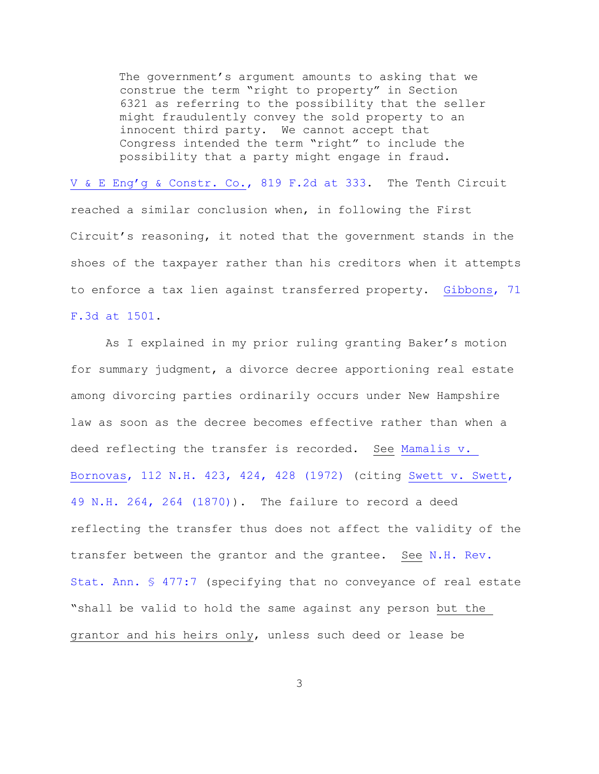The government's argument amounts to asking that we construe the term "right to property" in Section 6321 as referring to the possibility that the seller might fraudulently convey the sold property to an innocent third party. We cannot accept that Congress intended the term "right" to include the possibility that a party might engage in fraud.

[V & E Eng'g & Constr. Co.](http://westlaw.com/find/default.wl?ft=Y&referencepositiontype=S&rs=btil2.0&rp=%2ffind%2fdefault.wl&serialnum=1987060882&fn=_top&referenceposition=333&findtype=Y&vr=2.0&db=0000350&wbtoolsId=1987060882&HistoryType=F), 819 F.2d at 333. The Tenth Circuit reached a similar conclusion when, in following the First Circuit's reasoning, it noted that the government stands in the shoes of the taxpayer rather than his creditors when it attempts to enforce a tax lien against transferred property. [Gibbons, 71](http://web2.westlaw.com/find/default.wl?cite=71+f3d+1501&rs=WLW14.10&vr=2.0&rp=%2ffind%2fdefault.wl&sv=Split&fn=_top&mt=Westlaw)  [F.3d at 1501.](http://web2.westlaw.com/find/default.wl?cite=71+f3d+1501&rs=WLW14.10&vr=2.0&rp=%2ffind%2fdefault.wl&sv=Split&fn=_top&mt=Westlaw)

As I explained in my prior ruling granting Baker's motion for summary judgment, a divorce decree apportioning real estate among divorcing parties ordinarily occurs under New Hampshire law as soon as the decree becomes effective rather than when a deed reflecting the transfer is recorded. See [Mamalis v.](http://westlaw.com/find/default.wl?ft=Y&referencepositiontype=S&rs=btil2.0&rp=%2ffind%2fdefault.wl&serialnum=1972102340&fn=_top&referenceposition=424&findtype=Y&vr=2.0&db=0000579&wbtoolsId=1972102340&HistoryType=F)  [Bornovas, 112 N.H. 423, 424, 428 \(1972\)](http://westlaw.com/find/default.wl?ft=Y&referencepositiontype=S&rs=btil2.0&rp=%2ffind%2fdefault.wl&serialnum=1972102340&fn=_top&referenceposition=424&findtype=Y&vr=2.0&db=0000579&wbtoolsId=1972102340&HistoryType=F) (citing [Swett v. Swett,](http://web2.westlaw.com/result/default.wl?ss=CNT&mt=FirstCircuit&tnprpdd=None&ft=Y&tf=0&db=0000579&stid=%7b5e571c42-1f43-472e-9a98-e7330b57be15%7d&cnt=DOC&rlt=CLID_FQRLT26742344911228&scxt=WL&service=Find&rp=%2fFind%2fdefault.wl&referencesdu=2&ppt=SDU_2&tnprpds=TaxNewsFIT&serialnum=1870005438&vr=2.0&findtype=Y&cxt=DC&candisnum=1&tc=0&rlti=1&sv=Split&n=1&fn=_top&elmap=Inline&rs=btil2.0)  [49 N.H. 264, 264 \(1870\)\)](http://web2.westlaw.com/result/default.wl?ss=CNT&mt=FirstCircuit&tnprpdd=None&ft=Y&tf=0&db=0000579&stid=%7b5e571c42-1f43-472e-9a98-e7330b57be15%7d&cnt=DOC&rlt=CLID_FQRLT26742344911228&scxt=WL&service=Find&rp=%2fFind%2fdefault.wl&referencesdu=2&ppt=SDU_2&tnprpds=TaxNewsFIT&serialnum=1870005438&vr=2.0&findtype=Y&cxt=DC&candisnum=1&tc=0&rlti=1&sv=Split&n=1&fn=_top&elmap=Inline&rs=btil2.0). The failure to record a deed reflecting the transfer thus does not affect the validity of the transfer between the grantor and the grantee. See [N.H. Rev.](http://web2.westlaw.com/find/default.wl?cite=nh+rev+stat+ann+477%3a7&rs=WLW14.10&vr=2.0&rp=%2ffind%2fdefault.wl&sv=Split&fn=_top&mt=Westlaw)  [Stat. Ann. § 477:7](http://web2.westlaw.com/find/default.wl?cite=nh+rev+stat+ann+477%3a7&rs=WLW14.10&vr=2.0&rp=%2ffind%2fdefault.wl&sv=Split&fn=_top&mt=Westlaw) (specifying that no conveyance of real estate "shall be valid to hold the same against any person but the grantor and his heirs only, unless such deed or lease be

3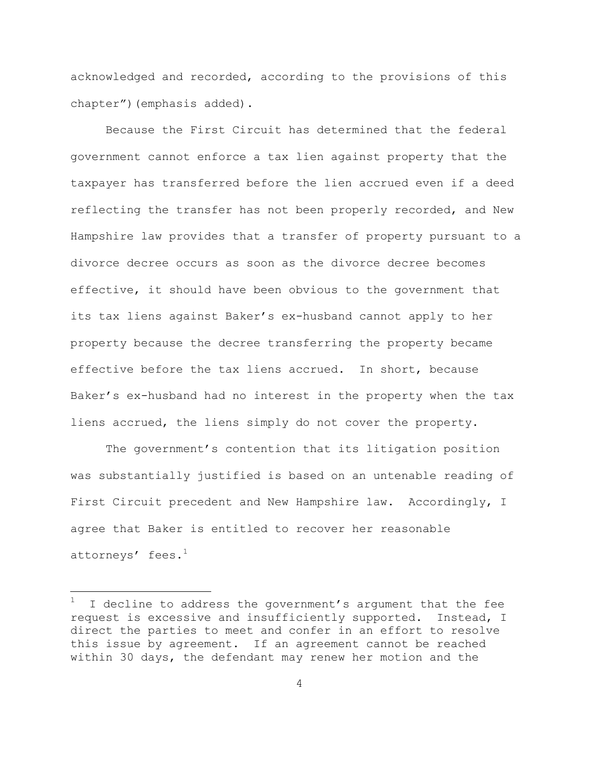acknowledged and recorded, according to the provisions of this chapter")(emphasis added).

Because the First Circuit has determined that the federal government cannot enforce a tax lien against property that the taxpayer has transferred before the lien accrued even if a deed reflecting the transfer has not been properly recorded, and New Hampshire law provides that a transfer of property pursuant to a divorce decree occurs as soon as the divorce decree becomes effective, it should have been obvious to the government that its tax liens against Baker's ex-husband cannot apply to her property because the decree transferring the property became effective before the tax liens accrued. In short, because Baker's ex-husband had no interest in the property when the tax liens accrued, the liens simply do not cover the property.

The government's contention that its litigation position was substantially justified is based on an untenable reading of First Circuit precedent and New Hampshire law. Accordingly, I agree that Baker is entitled to recover her reasonable attorneys $^{\prime}~$  fees. $^{1}$ 

÷.

I decline to address the government's argument that the fee request is excessive and insufficiently supported. Instead, I direct the parties to meet and confer in an effort to resolve this issue by agreement. If an agreement cannot be reached within 30 days, the defendant may renew her motion and the